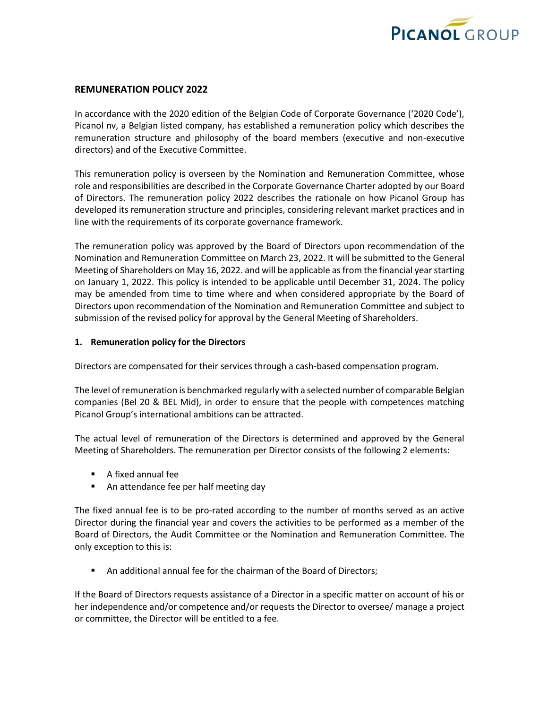

#### **REMUNERATION POLICY 2022**

In accordance with the 2020 edition of the Belgian Code of Corporate Governance ('2020 Code'), Picanol nv, a Belgian listed company, has established a remuneration policy which describes the remuneration structure and philosophy of the board members (executive and non-executive directors) and of the Executive Committee.

This remuneration policy is overseen by the Nomination and Remuneration Committee, whose role and responsibilities are described in the Corporate Governance Charter adopted by our Board of Directors. The remuneration policy 2022 describes the rationale on how Picanol Group has developed its remuneration structure and principles, considering relevant market practices and in line with the requirements of its corporate governance framework.

The remuneration policy was approved by the Board of Directors upon recommendation of the Nomination and Remuneration Committee on March 23, 2022. It will be submitted to the General Meeting of Shareholders on May 16, 2022. and will be applicable as from the financial year starting on January 1, 2022. This policy is intended to be applicable until December 31, 2024. The policy may be amended from time to time where and when considered appropriate by the Board of Directors upon recommendation of the Nomination and Remuneration Committee and subject to submission of the revised policy for approval by the General Meeting of Shareholders.

#### **1. Remuneration policy for the Directors**

Directors are compensated for their services through a cash-based compensation program.

The level of remuneration is benchmarked regularly with a selected number of comparable Belgian companies (Bel 20 & BEL Mid), in order to ensure that the people with competences matching Picanol Group's international ambitions can be attracted.

The actual level of remuneration of the Directors is determined and approved by the General Meeting of Shareholders. The remuneration per Director consists of the following 2 elements:

- A fixed annual fee
- An attendance fee per half meeting day

The fixed annual fee is to be pro-rated according to the number of months served as an active Director during the financial year and covers the activities to be performed as a member of the Board of Directors, the Audit Committee or the Nomination and Remuneration Committee. The only exception to this is:

An additional annual fee for the chairman of the Board of Directors;

If the Board of Directors requests assistance of a Director in a specific matter on account of his or her independence and/or competence and/or requests the Director to oversee/ manage a project or committee, the Director will be entitled to a fee.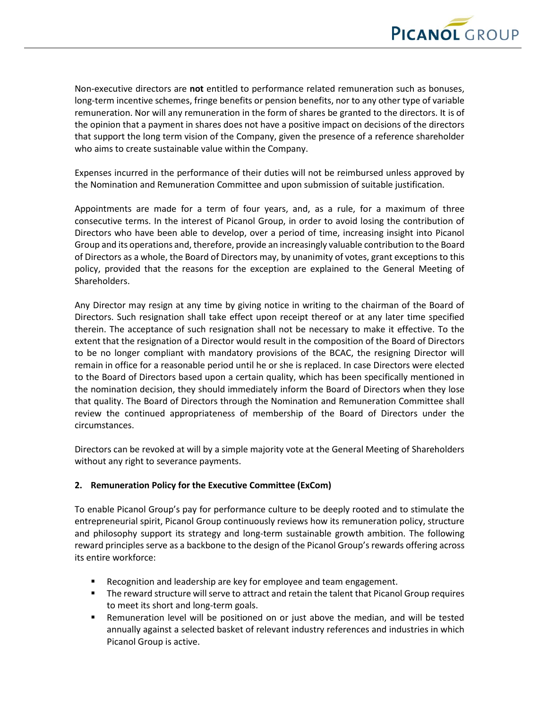

Non-executive directors are **not** entitled to performance related remuneration such as bonuses, long-term incentive schemes, fringe benefits or pension benefits, nor to any other type of variable remuneration. Nor will any remuneration in the form of shares be granted to the directors. It is of the opinion that a payment in shares does not have a positive impact on decisions of the directors that support the long term vision of the Company, given the presence of a reference shareholder who aims to create sustainable value within the Company.

Expenses incurred in the performance of their duties will not be reimbursed unless approved by the Nomination and Remuneration Committee and upon submission of suitable justification.

Appointments are made for a term of four years, and, as a rule, for a maximum of three consecutive terms. In the interest of Picanol Group, in order to avoid losing the contribution of Directors who have been able to develop, over a period of time, increasing insight into Picanol Group and its operations and, therefore, provide an increasingly valuable contribution to the Board of Directors as a whole, the Board of Directors may, by unanimity of votes, grant exceptions to this policy, provided that the reasons for the exception are explained to the General Meeting of Shareholders.

Any Director may resign at any time by giving notice in writing to the chairman of the Board of Directors. Such resignation shall take effect upon receipt thereof or at any later time specified therein. The acceptance of such resignation shall not be necessary to make it effective. To the extent that the resignation of a Director would result in the composition of the Board of Directors to be no longer compliant with mandatory provisions of the BCAC, the resigning Director will remain in office for a reasonable period until he or she is replaced. In case Directors were elected to the Board of Directors based upon a certain quality, which has been specifically mentioned in the nomination decision, they should immediately inform the Board of Directors when they lose that quality. The Board of Directors through the Nomination and Remuneration Committee shall review the continued appropriateness of membership of the Board of Directors under the circumstances.

Directors can be revoked at will by a simple majority vote at the General Meeting of Shareholders without any right to severance payments.

## **2. Remuneration Policy for the Executive Committee (ExCom)**

To enable Picanol Group's pay for performance culture to be deeply rooted and to stimulate the entrepreneurial spirit, Picanol Group continuously reviews how its remuneration policy, structure and philosophy support its strategy and long-term sustainable growth ambition. The following reward principles serve as a backbone to the design of the Picanol Group's rewards offering across its entire workforce:

- Recognition and leadership are key for employee and team engagement.
- The reward structure will serve to attract and retain the talent that Picanol Group requires to meet its short and long-term goals.
- Remuneration level will be positioned on or just above the median, and will be tested annually against a selected basket of relevant industry references and industries in which Picanol Group is active.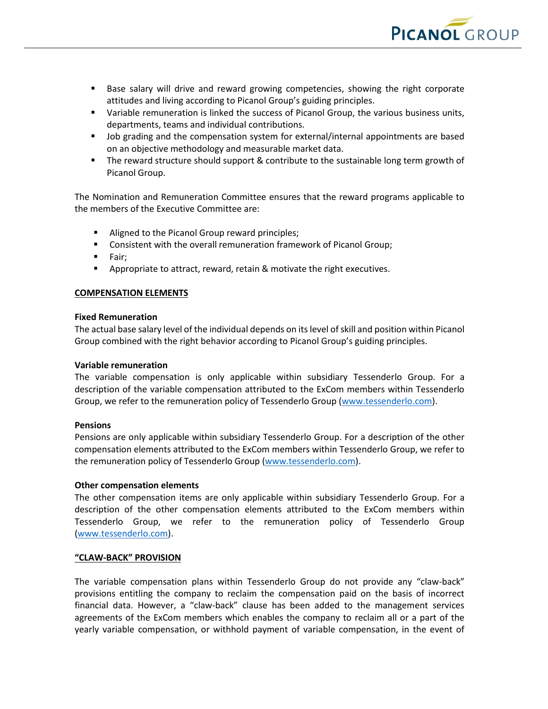

- Base salary will drive and reward growing competencies, showing the right corporate attitudes and living according to Picanol Group's guiding principles.
- **■** Variable remuneration is linked the success of Picanol Group, the various business units, departments, teams and individual contributions.
- Job grading and the compensation system for external/internal appointments are based on an objective methodology and measurable market data.
- The reward structure should support & contribute to the sustainable long term growth of Picanol Group.

The Nomination and Remuneration Committee ensures that the reward programs applicable to the members of the Executive Committee are:

- Aligned to the Picanol Group reward principles;
- Consistent with the overall remuneration framework of Picanol Group;
- Fair;
- Appropriate to attract, reward, retain & motivate the right executives.

## **COMPENSATION ELEMENTS**

#### **Fixed Remuneration**

The actual base salary level of the individual depends on its level of skill and position within Picanol Group combined with the right behavior according to Picanol Group's guiding principles.

#### **Variable remuneration**

The variable compensation is only applicable within subsidiary Tessenderlo Group. For a description of the variable compensation attributed to the ExCom members within Tessenderlo Group, we refer to the remuneration policy of Tessenderlo Group [\(www.tessenderlo.com\)](http://www.tessenderlo.com/).

## **Pensions**

Pensions are only applicable within subsidiary Tessenderlo Group. For a description of the other compensation elements attributed to the ExCom members within Tessenderlo Group, we refer to the remuneration policy of Tessenderlo Group [\(www.tessenderlo.com\)](http://www.tessenderlo.com/).

## **Other compensation elements**

The other compensation items are only applicable within subsidiary Tessenderlo Group. For a description of the other compensation elements attributed to the ExCom members within Tessenderlo Group, we refer to the remuneration policy of Tessenderlo Group [\(www.tessenderlo.com\)](http://www.tessenderlo.com/).

## **"CLAW-BACK" PROVISION**

The variable compensation plans within Tessenderlo Group do not provide any "claw-back" provisions entitling the company to reclaim the compensation paid on the basis of incorrect financial data. However, a "claw-back" clause has been added to the management services agreements of the ExCom members which enables the company to reclaim all or a part of the yearly variable compensation, or withhold payment of variable compensation, in the event of